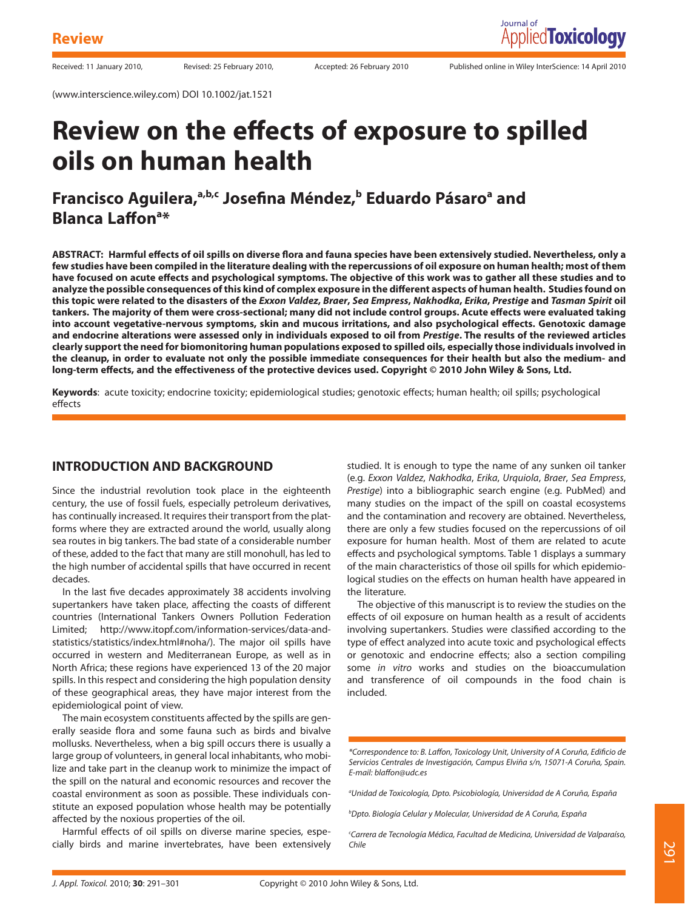### (www.interscience.wiley.com) DOI 10.1002/jat.1521

## **Review on the effects of exposure to spilled oils on human health**

## **Francisco Aguilera, a,b,c** Josefina Méndez, **b Eduardo Pásaro**<sup>a</sup> and **Blanca Laffon**<sup>a\*</sup>

**ABSTRACT: Harmful effects of oil spills on diverse flora and fauna species have been extensively studied. Nevertheless, only a few studies have been compiled in the literature dealing with the repercussions of oil exposure on human health; most of them have focused on acute effects and psychological symptoms. The objective of this work was to gather all these studies and to analyze the possible consequences of this kind of complex exposure in the different aspects of human health. Studies found on** this topic were related to the disasters of the Exxon Valdez, Braer, Sea Empress, Nakhodka, Erika, Prestige and Tasman Spirit oil **tankers. The majority of them were cross-sectional; many did not include control groups. Acute effects were evaluated taking into account vegetative-nervous symptoms, skin and mucous irritations, and also psychological effects. Genotoxic damage and endocrine alterations were assessed only in individuals exposed to oil from Prestige. The results of the reviewed articles clearly support the need for biomonitoring human populations exposed to spilled oils, especially those individuals involved in the cleanup, in order to evaluate not only the possible immediate consequences for their health but also the medium- and long-term effects, and the effectiveness of the protective devices used. Copyright © 2010 John Wiley & Sons, Ltd.**

**Keywords**: acute toxicity; endocrine toxicity; epidemiological studies; genotoxic effects; human health; oil spills; psychological effects

#### **INTRODUCTION AND BACKGROUND**

Since the industrial revolution took place in the eighteenth century, the use of fossil fuels, especially petroleum derivatives, has continually increased. It requires their transport from the platforms where they are extracted around the world, usually along sea routes in big tankers. The bad state of a considerable number of these, added to the fact that many are still monohull, has led to the high number of accidental spills that have occurred in recent decades.

In the last five decades approximately 38 accidents involving supertankers have taken place, affecting the coasts of different countries (International Tankers Owners Pollution Federation Limited; http://www.itopf.com/information-services/data-andstatistics/statistics/index.html#noha/). The major oil spills have occurred in western and Mediterranean Europe, as well as in North Africa; these regions have experienced 13 of the 20 major spills. In this respect and considering the high population density of these geographical areas, they have major interest from the epidemiological point of view.

The main ecosystem constituents affected by the spills are generally seaside flora and some fauna such as birds and bivalve mollusks. Nevertheless, when a big spill occurs there is usually a large group of volunteers, in general local inhabitants, who mobilize and take part in the cleanup work to minimize the impact of the spill on the natural and economic resources and recover the coastal environment as soon as possible. These individuals constitute an exposed population whose health may be potentially affected by the noxious properties of the oil.

Harmful effects of oil spills on diverse marine species, especially birds and marine invertebrates, have been extensively

studied. It is enough to type the name of any sunken oil tanker (e.g. Exxon Valdez, Nakhodka, Erika, Urquiola, Braer, Sea Empress, Prestige) into a bibliographic search engine (e.g. PubMed) and many studies on the impact of the spill on coastal ecosystems and the contamination and recovery are obtained. Nevertheless, there are only a few studies focused on the repercussions of oil exposure for human health. Most of them are related to acute effects and psychological symptoms. Table 1 displays a summary of the main characteristics of those oil spills for which epidemiological studies on the effects on human health have appeared in the literature.

The objective of this manuscript is to review the studies on the effects of oil exposure on human health as a result of accidents involving supertankers. Studies were classified according to the type of effect analyzed into acute toxic and psychological effects or genotoxic and endocrine effects; also a section compiling some in vitro works and studies on the bioaccumulation and transference of oil compounds in the food chain is included.

\*Correspondence to: B. Laffon, Toxicology Unit, University of A Coruña, Edificio de Servicios Centrales de Investigación, Campus Elviña s/n, 15071-A Coruña, Spain. E-mail: blaffon@udc.es

<sup>a</sup>Unidad de Toxicología, Dpto. Psicobiología, Universidad de A Coruña, España

<sup>b</sup>Dpto. Biología Celular y Molecular, Universidad de A Coruña, España

c Carrera de Tecnología Médica, Facultad de Medicina, Universidad de Valparaíso, Chile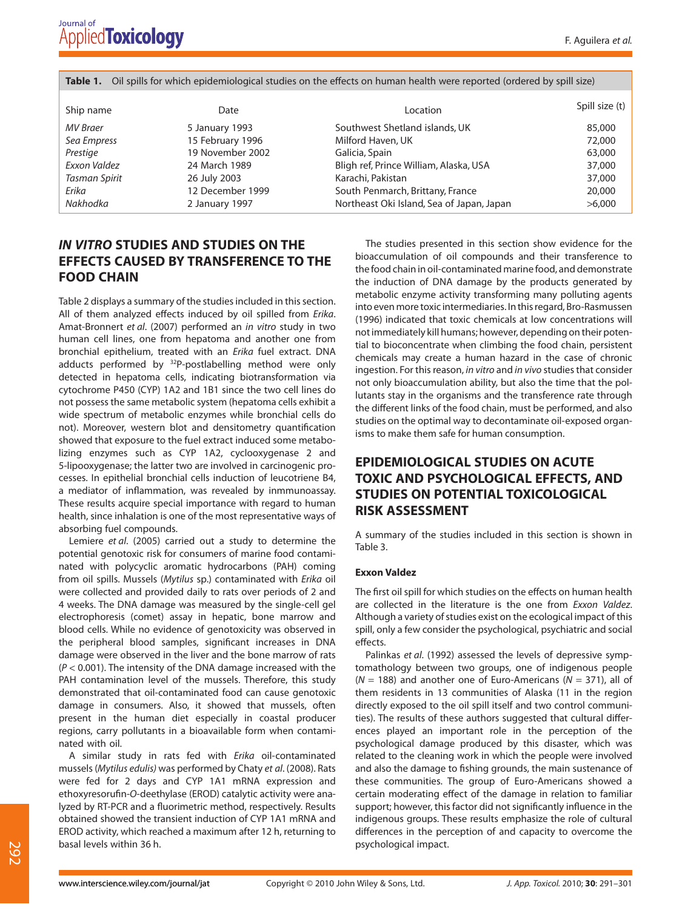**Table 1.** Oil spills for which epidemiological studies on the effects on human health were reported (ordered by spill size)

| Ship name     | Date             | Location                                  | Spill size (t) |
|---------------|------------------|-------------------------------------------|----------------|
| MV Braer      | 5 January 1993   | Southwest Shetland islands, UK            | 85,000         |
| Sea Empress   | 15 February 1996 | Milford Haven, UK                         | 72,000         |
| Prestige      | 19 November 2002 | Galicia, Spain                            | 63,000         |
| Exxon Valdez  | 24 March 1989    | Bligh ref, Prince William, Alaska, USA    | 37,000         |
| Tasman Spirit | 26 July 2003     | Karachi, Pakistan                         | 37,000         |
| Erika         | 12 December 1999 | South Penmarch, Brittany, France          | 20,000         |
| Nakhodka      | 2 January 1997   | Northeast Oki Island, Sea of Japan, Japan | >6.000         |

## **IN VITRO STUDIES AND STUDIES ON THE EFFECTS CAUSED BY TRANSFERENCE TO THE FOOD CHAIN**

Table 2 displays a summary of the studies included in this section. All of them analyzed effects induced by oil spilled from Erika. Amat-Bronnert et al. (2007) performed an in vitro study in two human cell lines, one from hepatoma and another one from bronchial epithelium, treated with an Erika fuel extract. DNA adducts performed by  $32P$ -postlabelling method were only detected in hepatoma cells, indicating biotransformation via cytochrome P450 (CYP) 1A2 and 1B1 since the two cell lines do not possess the same metabolic system (hepatoma cells exhibit a wide spectrum of metabolic enzymes while bronchial cells do not). Moreover, western blot and densitometry quantification showed that exposure to the fuel extract induced some metabolizing enzymes such as CYP 1A2, cyclooxygenase 2 and 5-lipooxygenase; the latter two are involved in carcinogenic processes. In epithelial bronchial cells induction of leucotriene B4, a mediator of inflammation, was revealed by inmmunoassay. These results acquire special importance with regard to human health, since inhalation is one of the most representative ways of absorbing fuel compounds.

Lemiere et al. (2005) carried out a study to determine the potential genotoxic risk for consumers of marine food contaminated with polycyclic aromatic hydrocarbons (PAH) coming from oil spills. Mussels (Mytilus sp.) contaminated with Erika oil were collected and provided daily to rats over periods of 2 and 4 weeks. The DNA damage was measured by the single-cell gel electrophoresis (comet) assay in hepatic, bone marrow and blood cells. While no evidence of genotoxicity was observed in the peripheral blood samples, significant increases in DNA damage were observed in the liver and the bone marrow of rats  $(P < 0.001)$ . The intensity of the DNA damage increased with the PAH contamination level of the mussels. Therefore, this study demonstrated that oil-contaminated food can cause genotoxic damage in consumers. Also, it showed that mussels, often present in the human diet especially in coastal producer regions, carry pollutants in a bioavailable form when contaminated with oil.

A similar study in rats fed with Erika oil-contaminated mussels (Mytilus edulis) was performed by Chaty et al. (2008). Rats were fed for 2 days and CYP 1A1 mRNA expression and ethoxyresorufin-O-deethylase (EROD) catalytic activity were analyzed by RT-PCR and a fluorimetric method, respectively. Results obtained showed the transient induction of CYP 1A1 mRNA and EROD activity, which reached a maximum after 12 h, returning to basal levels within 36 h.

The studies presented in this section show evidence for the bioaccumulation of oil compounds and their transference to the food chain in oil-contaminated marine food, and demonstrate the induction of DNA damage by the products generated by metabolic enzyme activity transforming many polluting agents into even more toxic intermediaries. In this regard, Bro-Rasmussen (1996) indicated that toxic chemicals at low concentrations will not immediately kill humans; however, depending on their potential to bioconcentrate when climbing the food chain, persistent chemicals may create a human hazard in the case of chronic ingestion. For this reason, in vitro and in vivo studies that consider not only bioaccumulation ability, but also the time that the pollutants stay in the organisms and the transference rate through the different links of the food chain, must be performed, and also studies on the optimal way to decontaminate oil-exposed organisms to make them safe for human consumption.

## **EPIDEMIOLOGICAL STUDIES ON ACUTE TOXIC AND PSYCHOLOGICAL EFFECTS, AND STUDIES ON POTENTIAL TOXICOLOGICAL RISK ASSESSMENT**

A summary of the studies included in this section is shown in Table 3.

#### **Exxon Valdez**

The first oil spill for which studies on the effects on human health are collected in the literature is the one from Exxon Valdez. Although a variety of studies exist on the ecological impact of this spill, only a few consider the psychological, psychiatric and social effects.

Palinkas et al. (1992) assessed the levels of depressive symptomathology between two groups, one of indigenous people ( $N = 188$ ) and another one of Euro-Americans ( $N = 371$ ), all of them residents in 13 communities of Alaska (11 in the region directly exposed to the oil spill itself and two control communities). The results of these authors suggested that cultural differences played an important role in the perception of the psychological damage produced by this disaster, which was related to the cleaning work in which the people were involved and also the damage to fishing grounds, the main sustenance of these communities. The group of Euro-Americans showed a certain moderating effect of the damage in relation to familiar support; however, this factor did not significantly influence in the indigenous groups. These results emphasize the role of cultural differences in the perception of and capacity to overcome the psychological impact.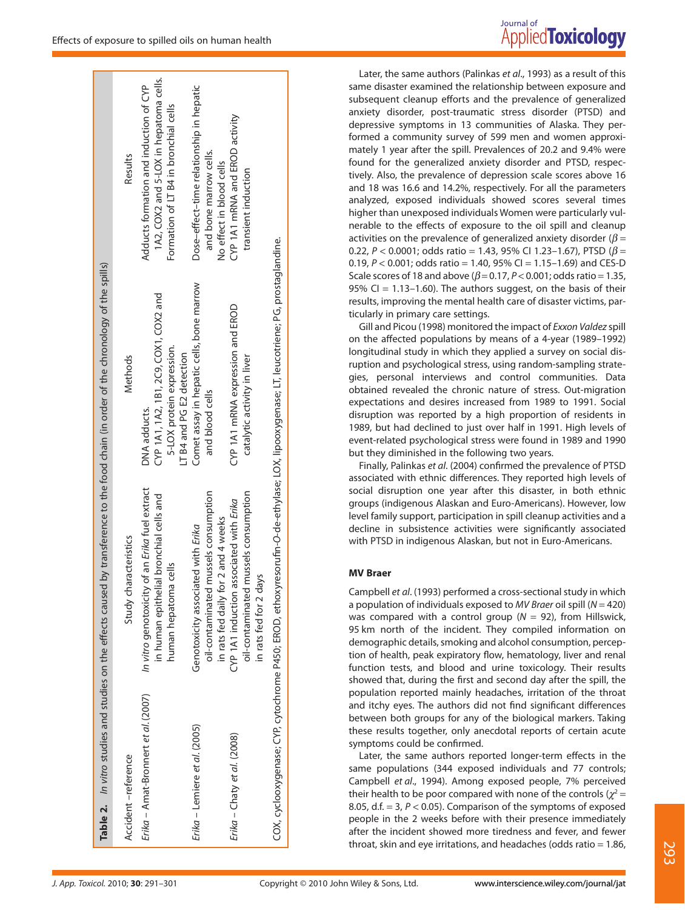| Effects of exposure to spilled oils on human health |  |  |
|-----------------------------------------------------|--|--|
|                                                     |  |  |
|                                                     |  |  |

п

Adducts formation and induction of CYP 1A2, COX2 and 5-LOX in hepatoma cells. Formation of LT B4 in bronchial cells

Results

1A2, COX2 and 5-LOX in hepatoma cells. Adducts formation and induction of CYP

Formation of LT B4 in bronchial cells

## Journal of **Applied Toxicology**

| transient induction                                            |                                                                                                    | Later, the same authors (Palinkas et al., 1993) as a result of this<br>same disaster examined the relationship between exposure and<br>subsequent cleanup efforts and the prevalence of generalized<br>anxiety disorder, post-traumatic stress disorder (PTSD) and<br>depressive symptoms in 13 communities of Alaska. They per-<br>formed a community survey of 599 men and women approxi-<br>mately 1 year after the spill. Prevalences of 20.2 and 9.4% were<br>found for the generalized anxiety disorder and PTSD, respec-<br>tively. Also, the prevalence of depression scale scores above 16<br>and 18 was 16.6 and 14.2%, respectively. For all the parameters<br>analyzed, exposed individuals showed scores several times<br>higher than unexposed individuals Women were particularly vul-<br>nerable to the effects of exposure to the oil spill and cleanup<br>activities on the prevalence of generalized anxiety disorder ( $\beta$ =<br>0.22, P < 0.0001; odds ratio = 1.43, 95% CI 1.23–1.67), PTSD ( $\beta$ =<br>0.19, $P < 0.001$ ; odds ratio = 1.40, 95% CI = 1.15–1.69) and CES-D<br>Scale scores of 18 and above ( $\beta$ = 0.17, P < 0.001; odds ratio = 1.35,<br>95% CI = 1.13–1.60). The authors suggest, on the basis of their<br>results, improving the mental health care of disaster victims, par-<br>ticularly in primary care settings. |
|----------------------------------------------------------------|----------------------------------------------------------------------------------------------------|---------------------------------------------------------------------------------------------------------------------------------------------------------------------------------------------------------------------------------------------------------------------------------------------------------------------------------------------------------------------------------------------------------------------------------------------------------------------------------------------------------------------------------------------------------------------------------------------------------------------------------------------------------------------------------------------------------------------------------------------------------------------------------------------------------------------------------------------------------------------------------------------------------------------------------------------------------------------------------------------------------------------------------------------------------------------------------------------------------------------------------------------------------------------------------------------------------------------------------------------------------------------------------------------------------------------------------------------------------------------------|
| catalytic activity in liver                                    | 450; EROD, ethoxyresorufin-O-de-ethylase; LOX, lipooxygenase; LT, leucotriene; PG, prostaglandine. | Gill and Picou (1998) monitored the impact of Exxon Valdez spill<br>on the affected populations by means of a 4-year (1989–1992)<br>longitudinal study in which they applied a survey on social dis-<br>ruption and psychological stress, using random-sampling strate-<br>gies, personal interviews and control communities. Data<br>obtained revealed the chronic nature of stress. Out-migration<br>expectations and desires increased from 1989 to 1991. Social<br>disruption was reported by a high proportion of residents in<br>1989, but had declined to just over half in 1991. High levels of<br>event-related psychological stress were found in 1989 and 1990<br>but they diminished in the following two years.<br>Finally, Palinkas et al. (2004) confirmed the prevalence of PTSD<br>associated with ethnic differences. They reported high levels of                                                                                                                                                                                                                                                                                                                                                                                                                                                                                                      |
|                                                                |                                                                                                    | social disruption one year after this disaster, in both ethnic<br>groups (indigenous Alaskan and Euro-Americans). However, low<br>level family support, participation in spill cleanup activities and a<br>decline in subsistence activities were significantly associated<br>with PTSD in indigenous Alaskan, but not in Euro-Americans.                                                                                                                                                                                                                                                                                                                                                                                                                                                                                                                                                                                                                                                                                                                                                                                                                                                                                                                                                                                                                                 |
|                                                                |                                                                                                    | <b>MV Braer</b>                                                                                                                                                                                                                                                                                                                                                                                                                                                                                                                                                                                                                                                                                                                                                                                                                                                                                                                                                                                                                                                                                                                                                                                                                                                                                                                                                           |
| oil-contaminated mussels consumption<br>in rats fed for 2 days |                                                                                                    | Campbell <i>et al.</i> (1993) performed a cross-sectional study in which<br>a population of individuals exposed to MV Braer oil spill ( $N = 420$ )<br>was compared with a control group ( $N = 92$ ), from Hillswick,<br>95 km north of the incident. They compiled information on<br>demographic details, smoking and alcohol consumption, percep-<br>tion of health, peak expiratory flow, hematology, liver and renal                                                                                                                                                                                                                                                                                                                                                                                                                                                                                                                                                                                                                                                                                                                                                                                                                                                                                                                                                 |

### **MV Braer**

Campbell et al. (1993) performed a cross-sectional study in which a population of individuals exposed to MV Braer oil spill ( $N = 420$ ) was compared with a control group ( $N = 92$ ), from Hillswick, 95 km north of the incident. They compiled information on demographic details, smoking and alcohol consumption, perception of health, peak expiratory flow, hematology, liver and renal function tests, and blood and urine toxicology. Their results showed that, during the first and second day after the spill, the population reported mainly headaches, irritation of the throat and itchy eyes. The authors did not find significant differences between both groups for any of the biological markers. Taking these results together, only anecdotal reports of certain acute symptoms could be confirmed.

Later, the same authors reported longer-term effects in the same populations (344 exposed individuals and 77 controls; Campbell et al., 1994). Among exposed people, 7% perceived their health to be poor compared with none of the controls ( $\chi^2$  = 8.05, d.f.  $= 3, P < 0.05$ ). Comparison of the symptoms of exposed people in the 2 weeks before with their presence immediately after the incident showed more tiredness and fever, and fewer throat, skin and eye irritations, and headaches (odds ratio = 1.86,

293

Table 2.

**Table 2.** In vitro studies and studies on the effects caused by transference to the food chain (in order of the chronology of the spills)

In vitro studies and studies on the effects caused by transference to the food chain (in order of the chronology of the spills)

Accident –reference Study characteristics Methods Results

Methods

DNA adducts.

DNA adducts.

CYP 1A1, 1A2, 1B1, 2C9, COX1, COX2 and

CYP 1A1, 1A2, 1B1, 2C9, COX1, COX2 and

5-LOX protein expression. LT B4 and PG E2 detection

5-LOX protein expression. LT B4 and PG E2 detection Comet assay in hepatic cells, bone marrow

Comet assay in hepatic cells, bone marrow

Dose–effect–time relationship in hepatic

Dose-effect-time relationship in hepatic

and bone marrow cells. No effect in blood cells

and bone marrow cells.

No effect in blood cells

CYP 1A1 mRNA and EROD activity

CYP 1A1 mRNA and EROD activity

and blood cells

and blood cells

CYP 1A1 mRNA expression and EROD

CYP 1A1 mRNA expression and EROD

*Erika* – Amat-Bronnert *et al*. (2007) *In vitro* genotoxicity of an *Erika* fuel extract

Erika – Amat-Bronnert *et al.* (2007)

Accident-reference

in human epithelial bronchial cells and

in human epithelial bronchial cells and

In vitro genotoxicity of an Erika fuel extract

Study characteristics

human hepatoma cells

human hepatoma cells

*Erika* – Lemiere *et al*. (2005) Genotoxicity associated with *Erika*

Erika - Lemiere et al. (2005)

*Erika* – Chaty *et al.* (2008) CYP 1A1 induction associated with *Erika*

Erika - Chaty et al. (2008)

CYP 1A1 induction associated with Erika

in rats fed daily for 2 and 4 weeks

COX, cyclooxygenase; CYP, cytochrome P450; EROD, ethoxyresorufin-

COX, cyclooxygenase; CYP, cytochrome P450; EROD, ethoxyresorufin-O-de-etl

oil-contaminated mussels consumption in rats fed daily for 2 and 4 weeks

oil-contaminated mussels consumption

Genotoxicity associated with Erika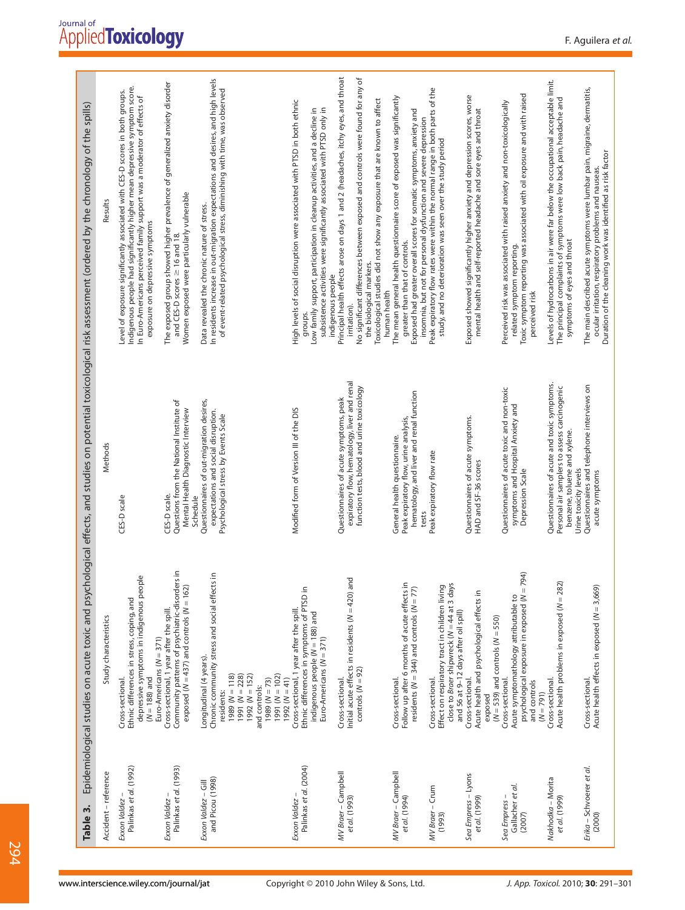п

| Epidemiological studies on acute toxic and psychological effects, and studies on potential toxicological risk assessment (ordered by the chronology of the spills) | Results               | Indigenous people had significantly higher mean depressive symptom score.<br>Level of exposure significantly associated with CES-D scores in both groups.<br>In Euro-Americans perceived family support was a moderator of effects of<br>exposure on depressive symptoms | The exposed group showed higher prevalence of generalized anxiety disorder<br>Women exposed were particularly vulnerable<br>and CES-D scores $\geq$ 16 and 18. | In residents increase in out-migration expectations and desires, and high levels<br>of event-related psychological stress, diminishing with time, was observed<br>Data revealed the chronic nature of stress. | High levels of social disruption were associated with PTSD in both ethnic<br>subsistence activities were significantly associated with PTSD only in<br>Low family support, participation in cleanup activities, and a decline in<br>groups. | Principal health effects arose on days 1 and 2 (headaches, itchy eyes, and throat<br>No significant differences between exposed and controls were found for any of<br>Toxicological studies did not show any exposure that are known to affect<br>the biological markers.<br>indigenous people<br>irritation). | The mean general health questionnaire score of exposed was significantly<br>Exposed had greater overall scores for somatic symptoms, anxiety and<br>greater than that of controls.<br>human health | Peak expiratory flow rates were within the normal range in both parts of the<br>insomnia, but not for personal dysfunction and severe depression<br>study, and no deterioration was seen over the study period | Exposed showed significantly higher anxiety and depression scores, worse<br>mental health and self-reported headache and sore eyes and throat | Toxic symptom reporting was associated with oil exposure and with raised<br>Perceived risk was associated with raised anxiety and non-toxicologically<br>related symptom reporting.<br>perceived risk | Levels of hydrocarbons in air were far below the occupational acceptable limit.<br>The principal complaints of symptoms were low back pain, headache and<br>symptoms of eyes and throat | The main described acute symptoms were lumbar pain, migraine, dermatitis,<br>Duration of the cleaning work was identified as risk factor<br>ocular irritation, respiratory problems and nauseas. |
|--------------------------------------------------------------------------------------------------------------------------------------------------------------------|-----------------------|--------------------------------------------------------------------------------------------------------------------------------------------------------------------------------------------------------------------------------------------------------------------------|----------------------------------------------------------------------------------------------------------------------------------------------------------------|---------------------------------------------------------------------------------------------------------------------------------------------------------------------------------------------------------------|---------------------------------------------------------------------------------------------------------------------------------------------------------------------------------------------------------------------------------------------|----------------------------------------------------------------------------------------------------------------------------------------------------------------------------------------------------------------------------------------------------------------------------------------------------------------|----------------------------------------------------------------------------------------------------------------------------------------------------------------------------------------------------|----------------------------------------------------------------------------------------------------------------------------------------------------------------------------------------------------------------|-----------------------------------------------------------------------------------------------------------------------------------------------|-------------------------------------------------------------------------------------------------------------------------------------------------------------------------------------------------------|-----------------------------------------------------------------------------------------------------------------------------------------------------------------------------------------|--------------------------------------------------------------------------------------------------------------------------------------------------------------------------------------------------|
|                                                                                                                                                                    | Methods               | CES-D <sub>scale</sub>                                                                                                                                                                                                                                                   | Questions from the National Institute of<br>Mental Health Diagnostic Interview<br>CES-D scale.                                                                 | Questionnaires of out-migration desires,<br>expectations and social disruption.<br>Psychological stress by Events Scale<br>Schedule                                                                           | Modified form of Version III of the DIS                                                                                                                                                                                                     | expiratory flow, hematology, liver and renal<br>function tests, blood and urine toxicology<br>Questionnaires of acute symptoms, peak                                                                                                                                                                           | hematology, and liver and renal function<br>Peak expiratory flow, urine analysis,<br>General health questionnaire.                                                                                 | Peak expiratory flow rate<br>tests                                                                                                                                                                             | Questionnaires of acute symptoms.<br>HAD and SF-36 scores                                                                                     | Questionnaires of acute toxic and non-toxic<br>symptoms and Hospital Anxiety and<br>Depression Scale                                                                                                  | Questionnaires of acute and toxic symptoms.<br>Personal air samplers to assess carcinogenic<br>benzene, toluene and xylene.<br>Urine toxicity levels                                    | Questionnaires and telephone interviews on<br>acute symptoms                                                                                                                                     |
|                                                                                                                                                                    | Study characteristics | depressive symptoms in indigenous people<br>Ethnic differences in stress, coping, and<br>Euro-Americans (N = 371)<br>$(N = 188)$ and<br>Cross-sectional                                                                                                                  | Community patterns of psychiatric-disorders in<br>exposed ( $N = 437$ ) and controls ( $N = 162$ )<br>Cross-sectional, 1 year after the spill.                 | Chronic community stress and social effects in<br>Longitudinal (4 years).<br>$1989 (N = 118)$<br>$1991 (N = 102)$<br>$1991 (N = 228)$<br>$1992 (N = 152)$<br>$1989 (N = 73)$<br>and controls:<br>residents:   | Ξ.<br>Ethnic differences in symptoms of PTSD<br>Cross-sectional, 1 year after the spill.<br>indigenous people $(N = 188)$ and<br>Euro-Americans (N = 371)<br>$(1992 (N = 41))$                                                              | Initial acute effects in residents ( $N = 420$ ) and<br>controls $(N = 92)$<br>Cross-sectional.                                                                                                                                                                                                                | Follow up after 6 months of acute effects in<br>residents ( $N = 344$ ) and controls ( $N = 77$ )<br>Cross-sectional.                                                                              | close to Braer shipwreck (N = 44 at 3 days<br>ing<br>Effect on respiratory tract in children liv<br>and 56 at 9-12 days after oil spill)<br>Cross-sectional.                                                   | Acute health and psychological effects in<br>$(N = 539)$ and controls $(N = 550)$<br>Cross-sectional.<br>exposed                              | $= 794$<br>Acute symptomathology attributable to<br>psychological exposure in exposed (N<br>Cross-sectional.<br>and controls<br>$(N = 791)$                                                           | 282)<br>Acute health problems in exposed (N =<br>Cross-sectional.                                                                                                                       | Acute health effects in exposed (N = 3,669)<br>Cross-sectional.                                                                                                                                  |
| Table 3.                                                                                                                                                           | Accident - reference  | Palinkas et al. (1992)<br>Exxon Valdez                                                                                                                                                                                                                                   | Palinkas et al. (1993)<br>Exxon Valdez -                                                                                                                       | and Picou (1998)<br>Exxon Valdez - Gill                                                                                                                                                                       | Palinkas et al. (2004)<br>Exxon Valdez                                                                                                                                                                                                      | MV Braer - Campbell<br>et al. (1993)                                                                                                                                                                                                                                                                           | MV Braer - Campbell<br>et al. (1994)                                                                                                                                                               | MV Braer - Crum<br>(1993)                                                                                                                                                                                      | Sea Empress - Lyons<br>et al. (1999)                                                                                                          | Gallacher et al.<br>Sea Empress -<br>(2007)                                                                                                                                                           | Nakhodka - Morita<br>et al. (1999)                                                                                                                                                      | Erika - Schvoerer et al.<br>(2000)                                                                                                                                                               |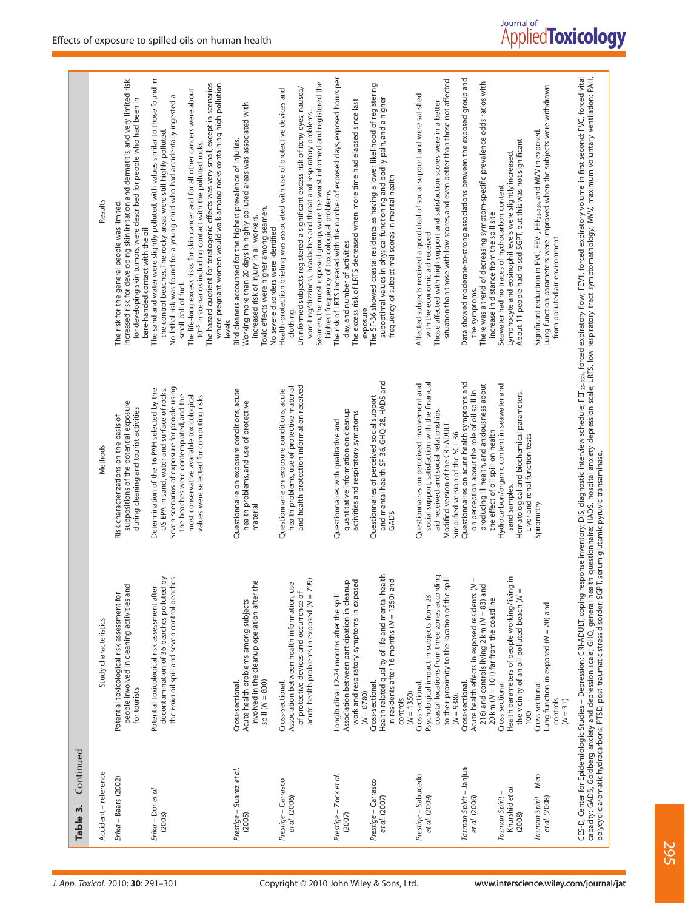| Continued<br>Table 3.                      |                                                                                                                                                                                                  |                                                                                                                                                                                                                                                                               |                                                                                                                                                                                                                                                                                                                                                                                                                                                                                                                                                                                                                         |
|--------------------------------------------|--------------------------------------------------------------------------------------------------------------------------------------------------------------------------------------------------|-------------------------------------------------------------------------------------------------------------------------------------------------------------------------------------------------------------------------------------------------------------------------------|-------------------------------------------------------------------------------------------------------------------------------------------------------------------------------------------------------------------------------------------------------------------------------------------------------------------------------------------------------------------------------------------------------------------------------------------------------------------------------------------------------------------------------------------------------------------------------------------------------------------------|
| Accident - reference                       | Study characteristics                                                                                                                                                                            | <b>Methods</b>                                                                                                                                                                                                                                                                | Results                                                                                                                                                                                                                                                                                                                                                                                                                                                                                                                                                                                                                 |
| $Erika - Baars (2002)$                     | people involved in cleaning activities and<br>Potential toxicological risk assessment for<br>for tourists                                                                                        | suppositions of the potential exposure<br>during cleaning and tourist activities<br>Risk characterizations on the basis of                                                                                                                                                    | Increased risk for developing skin irritation and dermatitis, and very limited risk<br>for developing skin tumors, were described for people who had been in<br>The risk for the general people was limited.                                                                                                                                                                                                                                                                                                                                                                                                            |
| Erika - Dor et al.<br>(2003)               | decontamination of 36 beaches polluted by<br>the Erika oil spill and seven control beaches<br>Potential toxicological risk assessment after                                                      | Seven scenarios of exposure for people using<br>Determination of the 16 PAH selected by the<br>US EPA in sand, water and surface of rocks.<br>the beaches were contemplated, and the<br>most conservative available toxicological<br>values were selected for computing risks | The sand and water were slightly polluted, with values similar to those found in<br>The hazard quotient for teratogenic effects was very small, except in scenarios<br>where pregnant women would walk among rocks containing high pollution<br>The life-long excess risks for skin cancer and for all other cancers were about<br>No lethal risk was found for a young child who had accidentally ingested a<br>the control beaches. The rocky areas were still highly polluted<br>10 <sup>-5</sup> in scenarios including contact with the polluted rocks.<br>bare-handed contact with the oil<br>small ball of fuel. |
| Prestige - Suarez et al.<br>(2005)         | the<br>involved in the cleanup operation after<br>Acute health problems among subjects<br>spill $(N = 800)$<br>Cross-sectional.                                                                  | Questionnaire on exposure conditions, acute<br>health problems, and use of protective<br>material                                                                                                                                                                             | Working more than 20 days in highly polluted areas was associated with<br>Bird cleaners accounted for the highest prevalence of injuries.<br>Toxic effects were higher among seamen.<br>increased risk of injury in all workers.                                                                                                                                                                                                                                                                                                                                                                                        |
| Prestige - Carrasco<br>et al. (2006)       | acute health problems in exposed (N = 799)<br>use<br>of protective devices and occurrence of<br>Association between health information,<br>Cross-sectional.                                      | and health-protection information received<br>health problems, use of protective material<br>Questionnaire on exposure conditions, acute                                                                                                                                      | Seamen, the most exposed group, were the worst informed and registered the<br>Uninformed subjects registered a significant excess risk of itchy eyes, nausea/<br>Health-protection briefing was associated with use of protective devices and<br>vomiting/dizziness, headaches and throat and respiratory problems.<br>No severe disorders were identified<br>clothing.                                                                                                                                                                                                                                                 |
| Prestige – Zock et al.<br>(2007)           | Association between participation in cleanup<br>work and respiratory symptoms in exposed<br>Longitudinal 12-24 months after the spill.                                                           | quantitative information on cleanup<br>activities and respiratory symptoms<br>Questionnaires with qualitative and                                                                                                                                                             | The risk of LRTS increased with the number of exposed days, exposed hours per<br>The excess risk of LRTS decreased when more time had elapsed since last<br>highest frequency of toxicological problems<br>day, and number of activities.                                                                                                                                                                                                                                                                                                                                                                               |
| Prestige - Carrasco<br>et al. (2007)       | Health-related quality of life and mental health<br>and<br>in residents after 16 months ( $N = 1350$ )<br>Cross-sectional.<br>$(N = 6780)$<br>controls                                           | and mental health SF-36, GHQ-28, HADS and<br>Questionnaires of perceived social support<br>GADS                                                                                                                                                                               | The SF-36 showed coastal residents as having a lower likelihood of registering<br>suboptimal values in physical functioning and bodily pain, and a higher<br>frequency of suboptimal scores in mental health<br>exposure                                                                                                                                                                                                                                                                                                                                                                                                |
| Prestige - Sabucedo<br>et al. (2009)       | coastal locations from three zones according<br>to their proximity to the location of the spill<br>Psychological impact in subjects from 23<br>Cross-sectional.<br>$(N = 1350)$<br>$(N = 938)$ . | social support, satisfaction with the financial<br>Questionnaires on perceived involvement and<br>aid received and social relationships.<br>Modified version of the CRI-ADULT.<br>Simplified version of the SCL-36                                                            | situation than those with low scores, and even better than those not affected<br>Affected subjects received a good deal of social support and were satisfied<br>Those affected with high support and satisfaction scores were in a better<br>with the economic aid received.                                                                                                                                                                                                                                                                                                                                            |
| Tasman Spirit - Janjua<br>et al. (2006)    | $\leq$<br>216) and controls living $2 \text{ km } (N = 83)$ and<br>Acute health effects in exposed residents<br>20 km ( $N = 101$ ) far from the coastline<br>Cross-sectional.                   | Questionnaires on acute health symptoms and<br>producing ill health, and anxiousness about<br>on perception about the role of oil spill in                                                                                                                                    | Data showed moderate-to-strong associations between the exposed group and<br>There was a trend of decreasing symptom-specific prevalence odds ratios with<br>the symptoms.                                                                                                                                                                                                                                                                                                                                                                                                                                              |
| Khurshid et al.<br>Tasman Spirit<br>(2008) | Health parameters of people working/living in<br>the vicinity of an oil-polluted beach (N<br>Cross sectional.                                                                                    | Hydrocarbon/organic content in seawater and<br>Hematological and biochemical parameters.<br>the effect of oil spill on health<br>sand samples.                                                                                                                                | About 11 people had raised SGPT, but this was not significant<br>Lymphocyte and eosinophil levels were slightly increased.<br>Seawater had no traces of hydrocarbon content.<br>increase in distance from the spill site                                                                                                                                                                                                                                                                                                                                                                                                |
| Tasman Spirit - Meo<br>et al. (2008)       | Lung function in exposed $(N = 20)$ and<br>Cross sectional.<br>controls<br>$(N = 31)$<br>100                                                                                                     | Liver and renal function tests<br>Spirometry                                                                                                                                                                                                                                  | Lung function parameters were improved when the subjects were withdrawn<br>Significant reduction in FVC, FEV <sub>1</sub> , FEF <sub>25-75%</sub> and MVV in exposed.<br>from polluted air environment                                                                                                                                                                                                                                                                                                                                                                                                                  |
|                                            |                                                                                                                                                                                                  |                                                                                                                                                                                                                                                                               | CES-D, Center for Epidemiologic Studies – Depression; CRI-ADULT, coping response inventory; DIS, diagnostic interview schedule; FEF <sub>25-7%</sub> , forced expiratory flow; FEV1, forced expiratory volume in first second; FVC, force<br>capacity; GADS, Goldberg anxiety and depression scale; GHQ, general health questionnaire; HADS, hospital anxiety depression scale; LRTS, low respiratory tract symptomathology; MVV, maximum voluntary ventilation; PAH,<br>polyc                                                                                                                                          |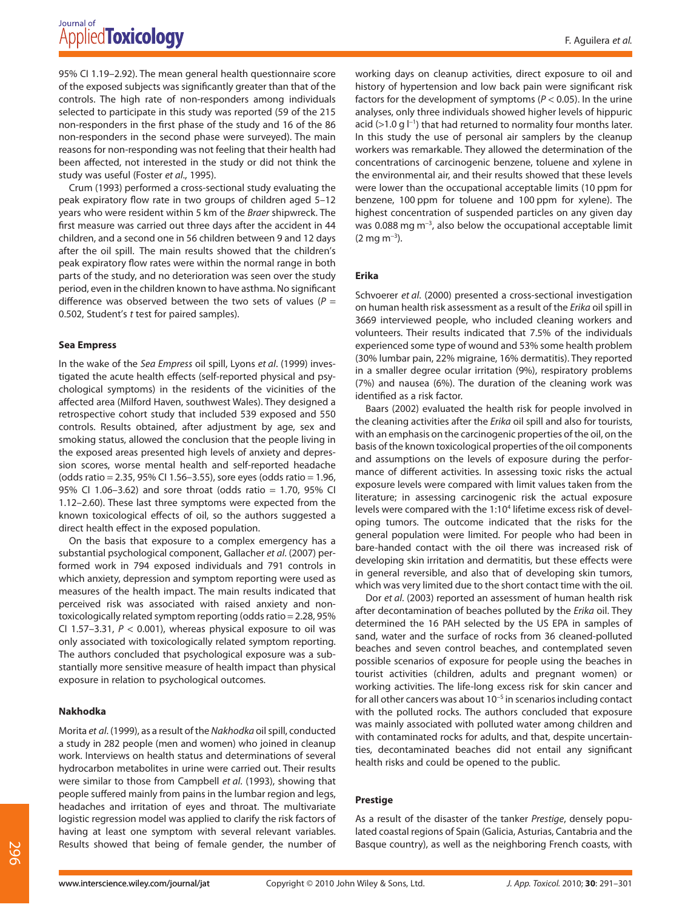95% CI 1.19–2.92). The mean general health questionnaire score of the exposed subjects was significantly greater than that of the controls. The high rate of non-responders among individuals selected to participate in this study was reported (59 of the 215 non-responders in the first phase of the study and 16 of the 86 non-responders in the second phase were surveyed). The main reasons for non-responding was not feeling that their health had been affected, not interested in the study or did not think the study was useful (Foster et al., 1995).

Crum (1993) performed a cross-sectional study evaluating the peak expiratory flow rate in two groups of children aged 5–12 years who were resident within 5 km of the Braer shipwreck. The first measure was carried out three days after the accident in 44 children, and a second one in 56 children between 9 and 12 days after the oil spill. The main results showed that the children's peak expiratory flow rates were within the normal range in both parts of the study, and no deterioration was seen over the study period, even in the children known to have asthma. No significant difference was observed between the two sets of values ( $P =$ 0.502, Student's t test for paired samples).

#### **Sea Empress**

In the wake of the Sea Empress oil spill, Lyons et al. (1999) investigated the acute health effects (self-reported physical and psychological symptoms) in the residents of the vicinities of the affected area (Milford Haven, southwest Wales). They designed a retrospective cohort study that included 539 exposed and 550 controls. Results obtained, after adjustment by age, sex and smoking status, allowed the conclusion that the people living in the exposed areas presented high levels of anxiety and depression scores, worse mental health and self-reported headache (odds ratio = 2.35, 95% CI 1.56–3.55), sore eyes (odds ratio = 1.96, 95% CI 1.06–3.62) and sore throat (odds ratio = 1.70, 95% CI 1.12–2.60). These last three symptoms were expected from the known toxicological effects of oil, so the authors suggested a direct health effect in the exposed population.

On the basis that exposure to a complex emergency has a substantial psychological component, Gallacher et al. (2007) performed work in 794 exposed individuals and 791 controls in which anxiety, depression and symptom reporting were used as measures of the health impact. The main results indicated that perceived risk was associated with raised anxiety and nontoxicologically related symptom reporting (odds ratio = 2.28, 95% CI 1.57-3.31,  $P < 0.001$ ), whereas physical exposure to oil was only associated with toxicologically related symptom reporting. The authors concluded that psychological exposure was a substantially more sensitive measure of health impact than physical exposure in relation to psychological outcomes.

#### **Nakhodka**

Morita et al. (1999), as a result of the Nakhodka oil spill, conducted a study in 282 people (men and women) who joined in cleanup work. Interviews on health status and determinations of several hydrocarbon metabolites in urine were carried out. Their results were similar to those from Campbell et al. (1993), showing that people suffered mainly from pains in the lumbar region and legs, headaches and irritation of eyes and throat. The multivariate logistic regression model was applied to clarify the risk factors of having at least one symptom with several relevant variables. Results showed that being of female gender, the number of

working days on cleanup activities, direct exposure to oil and history of hypertension and low back pain were significant risk factors for the development of symptoms ( $P < 0.05$ ). In the urine analyses, only three individuals showed higher levels of hippuric acid ( $>1.0$  g  $I^{-1}$ ) that had returned to normality four months later. In this study the use of personal air samplers by the cleanup workers was remarkable. They allowed the determination of the concentrations of carcinogenic benzene, toluene and xylene in the environmental air, and their results showed that these levels were lower than the occupational acceptable limits (10 ppm for benzene, 100 ppm for toluene and 100 ppm for xylene). The highest concentration of suspended particles on any given day was 0.088 mg  $m^{-3}$ , also below the occupational acceptable limit  $(2 \text{ mg m}^{-3}).$ 

#### **Erika**

Schvoerer et al. (2000) presented a cross-sectional investigation on human health risk assessment as a result of the Erika oil spill in 3669 interviewed people, who included cleaning workers and volunteers. Their results indicated that 7.5% of the individuals experienced some type of wound and 53% some health problem (30% lumbar pain, 22% migraine, 16% dermatitis). They reported in a smaller degree ocular irritation (9%), respiratory problems (7%) and nausea (6%). The duration of the cleaning work was identified as a risk factor.

Baars (2002) evaluated the health risk for people involved in the cleaning activities after the Erika oil spill and also for tourists, with an emphasis on the carcinogenic properties of the oil, on the basis of the known toxicological properties of the oil components and assumptions on the levels of exposure during the performance of different activities. In assessing toxic risks the actual exposure levels were compared with limit values taken from the literature; in assessing carcinogenic risk the actual exposure levels were compared with the 1:10<sup>4</sup> lifetime excess risk of developing tumors. The outcome indicated that the risks for the general population were limited. For people who had been in bare-handed contact with the oil there was increased risk of developing skin irritation and dermatitis, but these effects were in general reversible, and also that of developing skin tumors, which was very limited due to the short contact time with the oil.

Dor et al. (2003) reported an assessment of human health risk after decontamination of beaches polluted by the Erika oil. They determined the 16 PAH selected by the US EPA in samples of sand, water and the surface of rocks from 36 cleaned-polluted beaches and seven control beaches, and contemplated seven possible scenarios of exposure for people using the beaches in tourist activities (children, adults and pregnant women) or working activities. The life-long excess risk for skin cancer and for all other cancers was about  $10^{-5}$  in scenarios including contact with the polluted rocks. The authors concluded that exposure was mainly associated with polluted water among children and with contaminated rocks for adults, and that, despite uncertainties, decontaminated beaches did not entail any significant health risks and could be opened to the public.

#### **Prestige**

As a result of the disaster of the tanker Prestige, densely populated coastal regions of Spain (Galicia, Asturias, Cantabria and the Basque country), as well as the neighboring French coasts, with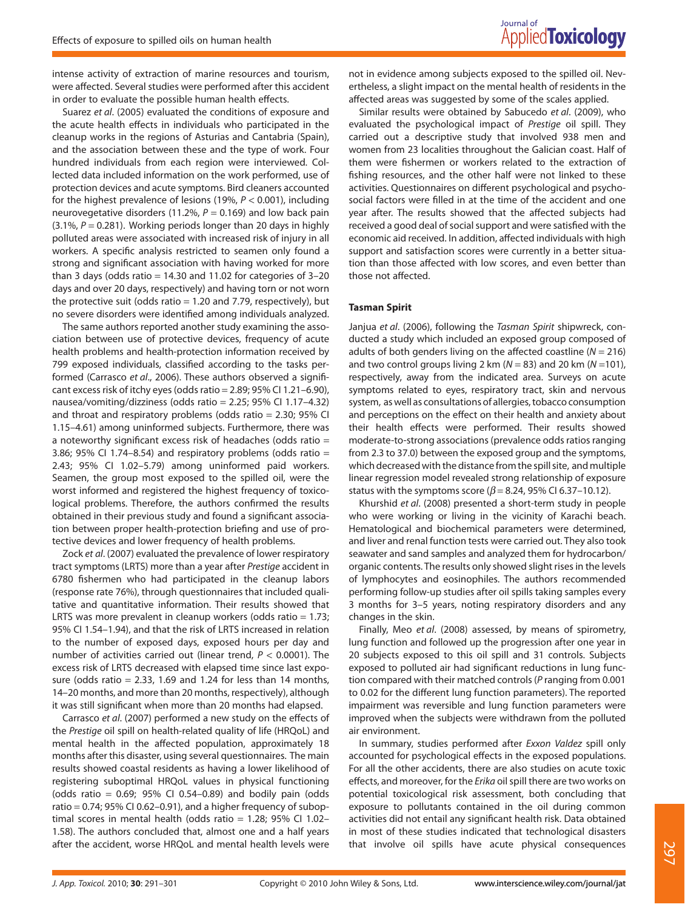intense activity of extraction of marine resources and tourism, were affected. Several studies were performed after this accident in order to evaluate the possible human health effects.

Suarez et al. (2005) evaluated the conditions of exposure and the acute health effects in individuals who participated in the cleanup works in the regions of Asturias and Cantabria (Spain), and the association between these and the type of work. Four hundred individuals from each region were interviewed. Collected data included information on the work performed, use of protection devices and acute symptoms. Bird cleaners accounted for the highest prevalence of lesions (19%,  $P < 0.001$ ), including neurovegetative disorders (11.2%,  $P = 0.169$ ) and low back pain  $(3.1\%, P = 0.281)$ . Working periods longer than 20 days in highly polluted areas were associated with increased risk of injury in all workers. A specific analysis restricted to seamen only found a strong and significant association with having worked for more than 3 days (odds ratio  $= 14.30$  and 11.02 for categories of  $3-20$ days and over 20 days, respectively) and having torn or not worn the protective suit (odds ratio  $= 1.20$  and 7.79, respectively), but no severe disorders were identified among individuals analyzed.

The same authors reported another study examining the association between use of protective devices, frequency of acute health problems and health-protection information received by 799 exposed individuals, classified according to the tasks performed (Carrasco et al., 2006). These authors observed a significant excess risk of itchy eyes (odds ratio = 2.89; 95% CI 1.21–6.90), nausea/vomiting/dizziness (odds ratio = 2.25; 95% CI 1.17–4.32) and throat and respiratory problems (odds ratio = 2.30; 95% CI 1.15–4.61) among uninformed subjects. Furthermore, there was a noteworthy significant excess risk of headaches (odds ratio = 3.86; 95% CI 1.74–8.54) and respiratory problems (odds ratio  $=$ 2.43; 95% CI 1.02–5.79) among uninformed paid workers. Seamen, the group most exposed to the spilled oil, were the worst informed and registered the highest frequency of toxicological problems. Therefore, the authors confirmed the results obtained in their previous study and found a significant association between proper health-protection briefing and use of protective devices and lower frequency of health problems.

Zock et al. (2007) evaluated the prevalence of lower respiratory tract symptoms (LRTS) more than a year after Prestige accident in 6780 fishermen who had participated in the cleanup labors (response rate 76%), through questionnaires that included qualitative and quantitative information. Their results showed that LRTS was more prevalent in cleanup workers (odds ratio  $= 1.73$ ; 95% CI 1.54–1.94), and that the risk of LRTS increased in relation to the number of exposed days, exposed hours per day and number of activities carried out (linear trend,  $P < 0.0001$ ). The excess risk of LRTS decreased with elapsed time since last exposure (odds ratio  $= 2.33$ , 1.69 and 1.24 for less than 14 months, 14–20 months, and more than 20 months, respectively), although it was still significant when more than 20 months had elapsed.

Carrasco et al. (2007) performed a new study on the effects of the Prestige oil spill on health-related quality of life (HRQoL) and mental health in the affected population, approximately 18 months after this disaster, using several questionnaires. The main results showed coastal residents as having a lower likelihood of registering suboptimal HRQoL values in physical functioning (odds ratio =  $0.69$ ;  $95\%$  CI 0.54–0.89) and bodily pain (odds ratio  $= 0.74$ ; 95% CI 0.62–0.91), and a higher frequency of suboptimal scores in mental health (odds ratio = 1.28; 95% CI 1.02– 1.58). The authors concluded that, almost one and a half years after the accident, worse HRQoL and mental health levels were

not in evidence among subjects exposed to the spilled oil. Nevertheless, a slight impact on the mental health of residents in the affected areas was suggested by some of the scales applied.

Similar results were obtained by Sabucedo et al. (2009), who evaluated the psychological impact of Prestige oil spill. They carried out a descriptive study that involved 938 men and women from 23 localities throughout the Galician coast. Half of them were fishermen or workers related to the extraction of fishing resources, and the other half were not linked to these activities. Questionnaires on different psychological and psychosocial factors were filled in at the time of the accident and one year after. The results showed that the affected subjects had received a good deal of social support and were satisfied with the economic aid received. In addition, affected individuals with high support and satisfaction scores were currently in a better situation than those affected with low scores, and even better than those not affected.

#### **Tasman Spirit**

Janjua et al. (2006), following the Tasman Spirit shipwreck, conducted a study which included an exposed group composed of adults of both genders living on the affected coastline ( $N = 216$ ) and two control groups living 2 km ( $N = 83$ ) and 20 km ( $N = 101$ ), respectively, away from the indicated area. Surveys on acute symptoms related to eyes, respiratory tract, skin and nervous system, as well as consultations of allergies, tobacco consumption and perceptions on the effect on their health and anxiety about their health effects were performed. Their results showed moderate-to-strong associations (prevalence odds ratios ranging from 2.3 to 37.0) between the exposed group and the symptoms, which decreased with the distance from the spill site, and multiple linear regression model revealed strong relationship of exposure status with the symptoms score ( $\beta$  = 8.24, 95% CI 6.37-10.12).

Khurshid et al. (2008) presented a short-term study in people who were working or living in the vicinity of Karachi beach. Hematological and biochemical parameters were determined, and liver and renal function tests were carried out. They also took seawater and sand samples and analyzed them for hydrocarbon/ organic contents. The results only showed slight rises in the levels of lymphocytes and eosinophiles. The authors recommended performing follow-up studies after oil spills taking samples every 3 months for 3–5 years, noting respiratory disorders and any changes in the skin.

Finally, Meo et al. (2008) assessed, by means of spirometry, lung function and followed up the progression after one year in 20 subjects exposed to this oil spill and 31 controls. Subjects exposed to polluted air had significant reductions in lung function compared with their matched controls (P ranging from 0.001 to 0.02 for the different lung function parameters). The reported impairment was reversible and lung function parameters were improved when the subjects were withdrawn from the polluted air environment.

In summary, studies performed after Exxon Valdez spill only accounted for psychological effects in the exposed populations. For all the other accidents, there are also studies on acute toxic effects, and moreover, for the Erika oil spill there are two works on potential toxicological risk assessment, both concluding that exposure to pollutants contained in the oil during common activities did not entail any significant health risk. Data obtained in most of these studies indicated that technological disasters that involve oil spills have acute physical consequences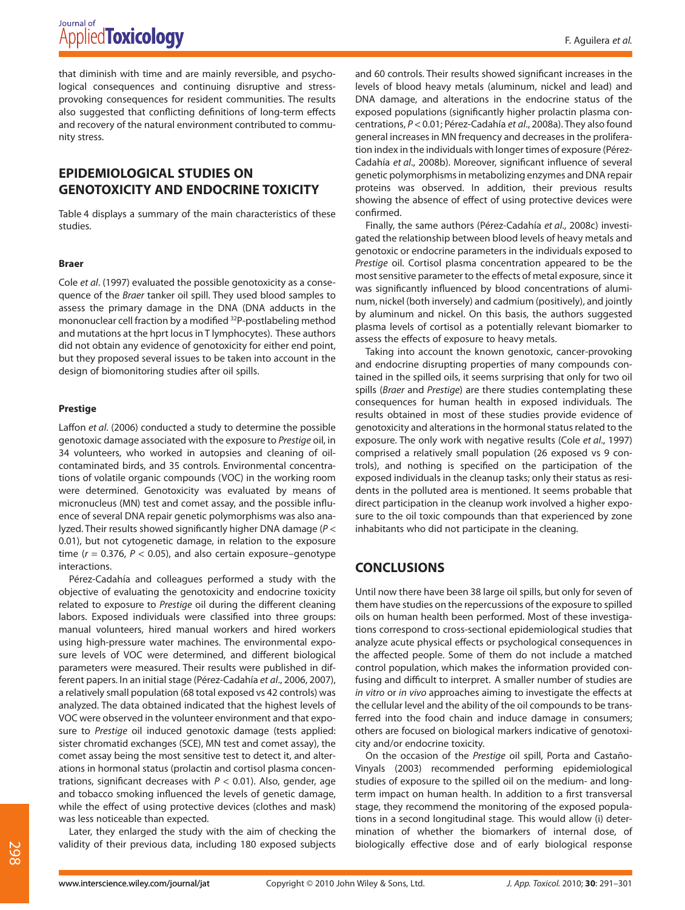# **AppliedToxicology**

that diminish with time and are mainly reversible, and psychological consequences and continuing disruptive and stressprovoking consequences for resident communities. The results also suggested that conflicting definitions of long-term effects and recovery of the natural environment contributed to community stress.

## **EPIDEMIOLOGICAL STUDIES ON GENOTOXICITY AND ENDOCRINE TOXICITY**

Table 4 displays a summary of the main characteristics of these studies.

#### **Braer**

Cole et al. (1997) evaluated the possible genotoxicity as a consequence of the Braer tanker oil spill. They used blood samples to assess the primary damage in the DNA (DNA adducts in the mononuclear cell fraction by a modified 32P-postlabeling method and mutations at the hprt locus in T lymphocytes). These authors did not obtain any evidence of genotoxicity for either end point, but they proposed several issues to be taken into account in the design of biomonitoring studies after oil spills.

#### **Prestige**

Laffon et al. (2006) conducted a study to determine the possible genotoxic damage associated with the exposure to Prestige oil, in 34 volunteers, who worked in autopsies and cleaning of oilcontaminated birds, and 35 controls. Environmental concentrations of volatile organic compounds (VOC) in the working room were determined. Genotoxicity was evaluated by means of micronucleus (MN) test and comet assay, and the possible influence of several DNA repair genetic polymorphisms was also analyzed. Their results showed significantly higher DNA damage ( $P <$ 0.01), but not cytogenetic damage, in relation to the exposure time ( $r = 0.376$ ,  $P < 0.05$ ), and also certain exposure–genotype interactions.

Pérez-Cadahía and colleagues performed a study with the objective of evaluating the genotoxicity and endocrine toxicity related to exposure to Prestige oil during the different cleaning labors. Exposed individuals were classified into three groups: manual volunteers, hired manual workers and hired workers using high-pressure water machines. The environmental exposure levels of VOC were determined, and different biological parameters were measured. Their results were published in different papers. In an initial stage (Pérez-Cadahía et al., 2006, 2007), a relatively small population (68 total exposed vs 42 controls) was analyzed. The data obtained indicated that the highest levels of VOC were observed in the volunteer environment and that exposure to Prestige oil induced genotoxic damage (tests applied: sister chromatid exchanges (SCE), MN test and comet assay), the comet assay being the most sensitive test to detect it, and alterations in hormonal status (prolactin and cortisol plasma concentrations, significant decreases with  $P < 0.01$ ). Also, gender, age and tobacco smoking influenced the levels of genetic damage, while the effect of using protective devices (clothes and mask) was less noticeable than expected.

Later, they enlarged the study with the aim of checking the validity of their previous data, including 180 exposed subjects

and 60 controls. Their results showed significant increases in the levels of blood heavy metals (aluminum, nickel and lead) and DNA damage, and alterations in the endocrine status of the exposed populations (significantly higher prolactin plasma concentrations, P < 0.01; Pérez-Cadahía et al., 2008a). They also found general increases in MN frequency and decreases in the proliferation index in the individuals with longer times of exposure (Pérez-Cadahía et al., 2008b). Moreover, significant influence of several genetic polymorphisms in metabolizing enzymes and DNA repair proteins was observed. In addition, their previous results showing the absence of effect of using protective devices were confirmed.

Finally, the same authors (Pérez-Cadahía et al., 2008c) investigated the relationship between blood levels of heavy metals and genotoxic or endocrine parameters in the individuals exposed to Prestige oil. Cortisol plasma concentration appeared to be the most sensitive parameter to the effects of metal exposure, since it was significantly influenced by blood concentrations of aluminum, nickel (both inversely) and cadmium (positively), and jointly by aluminum and nickel. On this basis, the authors suggested plasma levels of cortisol as a potentially relevant biomarker to assess the effects of exposure to heavy metals.

Taking into account the known genotoxic, cancer-provoking and endocrine disrupting properties of many compounds contained in the spilled oils, it seems surprising that only for two oil spills (Braer and Prestige) are there studies contemplating these consequences for human health in exposed individuals. The results obtained in most of these studies provide evidence of genotoxicity and alterations in the hormonal status related to the exposure. The only work with negative results (Cole et al., 1997) comprised a relatively small population (26 exposed vs 9 controls), and nothing is specified on the participation of the exposed individuals in the cleanup tasks; only their status as residents in the polluted area is mentioned. It seems probable that direct participation in the cleanup work involved a higher exposure to the oil toxic compounds than that experienced by zone inhabitants who did not participate in the cleaning.

#### **CONCLUSIONS**

Until now there have been 38 large oil spills, but only for seven of them have studies on the repercussions of the exposure to spilled oils on human health been performed. Most of these investigations correspond to cross-sectional epidemiological studies that analyze acute physical effects or psychological consequences in the affected people. Some of them do not include a matched control population, which makes the information provided confusing and difficult to interpret. A smaller number of studies are in vitro or in vivo approaches aiming to investigate the effects at the cellular level and the ability of the oil compounds to be transferred into the food chain and induce damage in consumers; others are focused on biological markers indicative of genotoxicity and/or endocrine toxicity.

On the occasion of the Prestige oil spill, Porta and Castaño-Vinyals (2003) recommended performing epidemiological studies of exposure to the spilled oil on the medium- and longterm impact on human health. In addition to a first transversal stage, they recommend the monitoring of the exposed populations in a second longitudinal stage. This would allow (i) determination of whether the biomarkers of internal dose, of biologically effective dose and of early biological response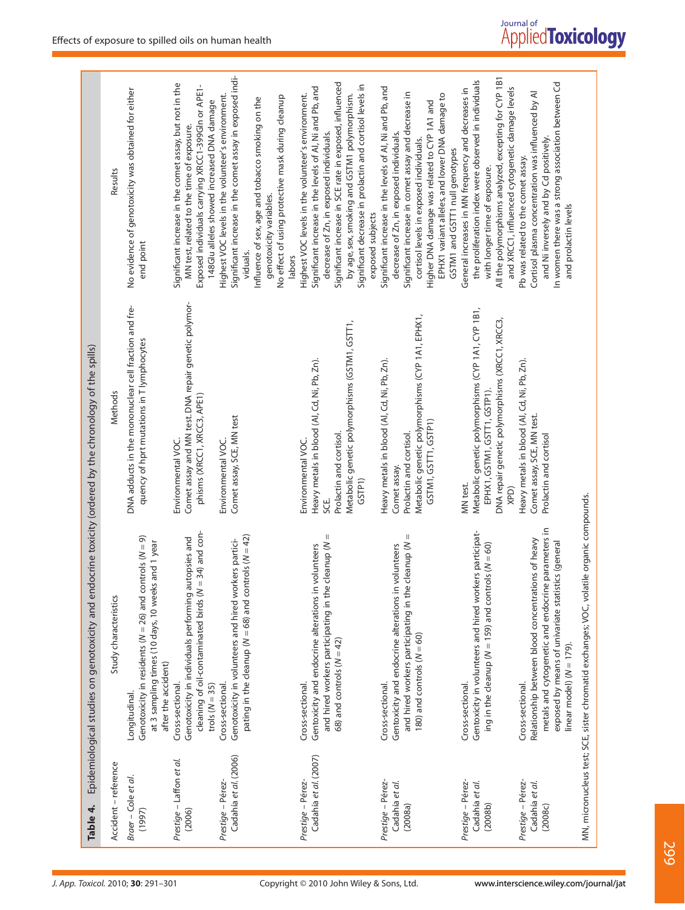| Cadahía et al. (2006)<br>Cadahía et al. (2007)<br>Prestige - Laffon et al.<br>Accident - reference<br>Braer - Cole et al.<br>Prestige - Pérez-<br>Prestige - Pérez-<br>Prestige - Pérez-<br>Cadahía et al.<br>Table 4.<br>(2006)<br>(1997) | Epidemiological studies on genotoxicity and endocrine toxicity (ordered by the chronology of the spills)<br>$=$ 34) and con-<br>Ш<br>Genotoxicity in residents ( $N = 26$ ) and controls ( $N = 9$ )<br>autopsies and<br>pating in the cleanup ( $N = 68$ ) and controls ( $N = 42$ )<br>Genotoxicity in volunteers and hired workers partici-<br>at 3 sampling times (10 days, 10 weeks and 1 year<br>and hired workers participating in the cleanup (N<br>Gentoxicity and endocrine alterations in volunteers<br>Gentoxicity and endocrine alterations in volunteers<br>cleaning of oil-contaminated birds (N<br>Genotoxicity in individuals performing<br>Study characteristics<br>68) and controls $(N = 42)$<br>after the accident)<br>Cross-sectional.<br>Cross-sectional.<br>Cross-sectional.<br>trols $(N = 35)$<br>Cross-sectional.<br>Longitudinal. | Comet assay and MN test. DNA repair genetic polymor-<br>DNA adducts in the mononuclear cell fraction and fre-<br>Metabolic genetic polymorphisms (GSTM1, GSTT1,<br>quency of hprt mutations in T lymphocytes<br>Heavy metals in blood (AI, Cd, Ni, Pb, Zn).<br>Heavy metals in blood (AI, Cd, Ni, Pb, Zn).<br>Methods<br>phisms (XRCC1, XRCC3, APE1)<br>Comet assay, SCE, MN test<br>Prolactin and cortisol.<br>Environmental VOC.<br>Environmental VOC.<br>Environmental VOC.<br>Comet assay.<br>GSTP1)<br>SCE. | Significant increase in the comet assay in exposed indi-<br>Significant increase in SCE rate in exposed, influenced<br>Significant increase in the comet assay, but not in the<br>Significant decrease in prolactin and cortisol levels in<br>Exposed individuals carrying XRCC1-399Gln or APE1-<br>Significant increase in the levels of AI, Ni and Pb, and<br>Significant increase in the levels of AI, Ni and Pb, and<br>No evidence of genotoxicity was obtained for either<br>Highest VOC levels in the volunteer's environment.<br>by age, sex, smoking and GSTM1 polymorphism.<br>Highest VOC levels in the volunteer's environment.<br>No effect of using protective mask during cleanup<br>Influence of sex, age and tobacco smoking on the<br>148Glu alleles showed increased DNA damage<br>MN test, related to the time of exposure.<br>decrease of Zn, in exposed individuals.<br>decrease of Zn, in exposed individuals<br>Results<br>genotoxicity variables.<br>exposed subjects<br>end point<br>viduals.<br>labors |
|--------------------------------------------------------------------------------------------------------------------------------------------------------------------------------------------------------------------------------------------|---------------------------------------------------------------------------------------------------------------------------------------------------------------------------------------------------------------------------------------------------------------------------------------------------------------------------------------------------------------------------------------------------------------------------------------------------------------------------------------------------------------------------------------------------------------------------------------------------------------------------------------------------------------------------------------------------------------------------------------------------------------------------------------------------------------------------------------------------------------|------------------------------------------------------------------------------------------------------------------------------------------------------------------------------------------------------------------------------------------------------------------------------------------------------------------------------------------------------------------------------------------------------------------------------------------------------------------------------------------------------------------|-----------------------------------------------------------------------------------------------------------------------------------------------------------------------------------------------------------------------------------------------------------------------------------------------------------------------------------------------------------------------------------------------------------------------------------------------------------------------------------------------------------------------------------------------------------------------------------------------------------------------------------------------------------------------------------------------------------------------------------------------------------------------------------------------------------------------------------------------------------------------------------------------------------------------------------------------------------------------------------------------------------------------------------|
| Prestige - Pérez-<br>Prestige - Pérez-<br>Cadahía et al.<br>Cadahía et al.<br>(2008b)<br>(2008a)<br>(2008c)                                                                                                                                | metals and cytogenetic and endocrine parameters in<br>Gentoxicity in volunteers and hired workers participat-<br>and hired workers participating in the cleanup (N =<br>Relationship between blood concentrations of heavy<br>exposed by means of univariate statistics (general<br>ing in the cleanup ( $N = 159$ ) and controls ( $N = 60$ )<br>180) and controls $(N = 60)$<br>linear model) $(N = 179)$ .<br>Cross-sectional.<br>Cross-sectional.                                                                                                                                                                                                                                                                                                                                                                                                         | Metabolic genetic polymorphisms (CYP 1A1, CYP 1B1,<br>Metabolic genetic polymorphisms (CYP 1A1, EPHX1,<br>DNA repair genetic polymorphisms (XRCC1, XRCC3,<br>Heavy metals in blood (AI, Cd, Ni, Pb, Zn).<br>EPHX1, GSTM1, GSTT1, GSTP1).<br>Comet assay, SCE, MN test.<br>GSTM1, GSTT1, GSTP1)<br>Prolactin and cortisol.<br>Prolactin and cortisol<br>MN test.<br>XPD)                                                                                                                                          | All the polymorphisms analyzed, excepting for CYP 1B1<br>the proliferation index were observed in individuals<br>In women there was a strong association between Cd<br>and XRCC1, influenced cytogenetic damage levels<br>General increases in MN frequency and decreases in<br>Significant increase in comet assay and decrease in<br>Cortisol plasma concentration was influenced by Al<br>EPHX1 variant alleles, and lower DNA damage to<br>Higher DNA damage was related to CYP 1A1 and<br>and Ni inversely and by Cd positively.<br>cortisol levels in exposed individuals.<br>GSTM1 and GSTT1 null genotypes<br>Pb was related to the comet assay.<br>with longer time of exposure.<br>and prolactin levels                                                                                                                                                                                                                                                                                                                 |
|                                                                                                                                                                                                                                            | MN, micronucleus test; SCE, sister chromatid exchanges; VOC, volatile organic compounds.                                                                                                                                                                                                                                                                                                                                                                                                                                                                                                                                                                                                                                                                                                                                                                      |                                                                                                                                                                                                                                                                                                                                                                                                                                                                                                                  |                                                                                                                                                                                                                                                                                                                                                                                                                                                                                                                                                                                                                                                                                                                                                                                                                                                                                                                                                                                                                                   |

**The Co**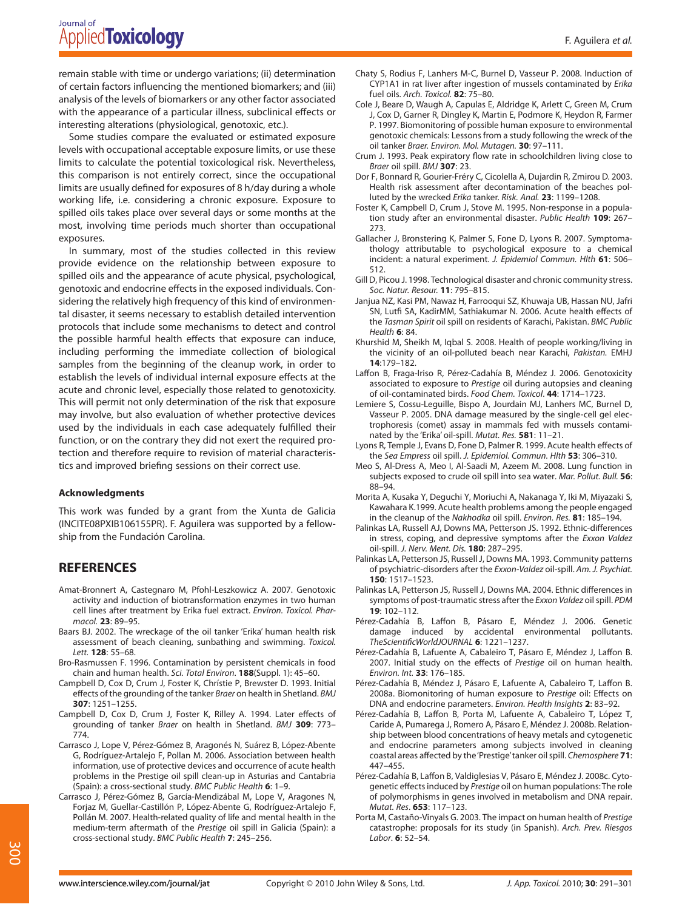## **AppliedToxicology**

remain stable with time or undergo variations; (ii) determination of certain factors influencing the mentioned biomarkers; and (iii) analysis of the levels of biomarkers or any other factor associated with the appearance of a particular illness, subclinical effects or interesting alterations (physiological, genotoxic, etc.).

Some studies compare the evaluated or estimated exposure levels with occupational acceptable exposure limits, or use these limits to calculate the potential toxicological risk. Nevertheless, this comparison is not entirely correct, since the occupational limits are usually defined for exposures of 8 h/day during a whole working life, i.e. considering a chronic exposure. Exposure to spilled oils takes place over several days or some months at the most, involving time periods much shorter than occupational exposures.

In summary, most of the studies collected in this review provide evidence on the relationship between exposure to spilled oils and the appearance of acute physical, psychological, genotoxic and endocrine effects in the exposed individuals. Considering the relatively high frequency of this kind of environmental disaster, it seems necessary to establish detailed intervention protocols that include some mechanisms to detect and control the possible harmful health effects that exposure can induce, including performing the immediate collection of biological samples from the beginning of the cleanup work, in order to establish the levels of individual internal exposure effects at the acute and chronic level, especially those related to genotoxicity. This will permit not only determination of the risk that exposure may involve, but also evaluation of whether protective devices used by the individuals in each case adequately fulfilled their function, or on the contrary they did not exert the required protection and therefore require to revision of material characteristics and improved briefing sessions on their correct use.

#### **Acknowledgments**

This work was funded by a grant from the Xunta de Galicia (INCITE08PXIB106155PR). F. Aguilera was supported by a fellowship from the Fundación Carolina.

## **REFERENCES**

- Amat-Bronnert A, Castegnaro M, Pfohl-Leszkowicz A. 2007. Genotoxic activity and induction of biotransformation enzymes in two human cell lines after treatment by Erika fuel extract. Environ. Toxicol. Pharmacol. **23**: 89–95.
- Baars BJ. 2002. The wreckage of the oil tanker 'Erika' human health risk assessment of beach cleaning, sunbathing and swimming. Toxicol. Lett. **128**: 55–68.
- Bro-Rasmussen F. 1996. Contamination by persistent chemicals in food chain and human health. Sci. Total Environ. **188**(Suppl. 1): 45–60.
- Campbell D, Cox D, Crum J, Foster K, Chrístie P, Brewster D. 1993. Initial effects of the grounding of the tanker Braer on health in Shetland. BMJ **307**: 1251–1255.
- Campbell D, Cox D, Crum J, Foster K, Rilley A. 1994. Later effects of grounding of tanker Braer on health in Shetland. BMJ **309**: 773– 774.
- Carrasco J, Lope V, Pérez-Gómez B, Aragonés N, Suárez B, López-Abente G, Rodríguez-Artalejo F, Pollan M. 2006. Association between health information, use of protective devices and occurrence of acute health problems in the Prestige oil spill clean-up in Asturias and Cantabria (Spain): a cross-sectional study. BMC Public Health **6**: 1–9.
- Carrasco J, Pérez-Gómez B, García-Mendizábal M, Lope V, Aragones N, Forjaz M, Guellar-Castillón P, López-Abente G, Rodríguez-Artalejo F, Pollán M. 2007. Health-related quality of life and mental health in the medium-term aftermath of the Prestige oil spill in Galicia (Spain): a cross-sectional study. BMC Public Health **7**: 245–256.
- Chaty S, Rodius F, Lanhers M-C, Burnel D, Vasseur P. 2008. Induction of CYP1A1 in rat liver after ingestion of mussels contaminated by Erika fuel oils. Arch. Toxicol. **82**: 75–80.
- Cole J, Beare D, Waugh A, Capulas E, Aldridge K, Arlett C, Green M, Crum J, Cox D, Garner R, Dingley K, Martin E, Podmore K, Heydon R, Farmer P. 1997. Biomonitoring of possible human exposure to environmental genotoxic chemicals: Lessons from a study following the wreck of the oil tanker Braer. Environ. Mol. Mutagen. **30**: 97–111.
- Crum J. 1993. Peak expiratory flow rate in schoolchildren living close to Braer oil spill. BMJ **307**: 23.
- Dor F, Bonnard R, Gourier-Fréry C, Cicolella A, Dujardin R, Zmirou D. 2003. Health risk assessment after decontamination of the beaches polluted by the wrecked Erika tanker. Risk. Anal. **23**: 1199–1208.
- Foster K, Campbell D, Crum J, Stove M. 1995. Non-response in a population study after an environmental disaster. Public Health **109**: 267– 273.
- Gallacher J, Bronstering K, Palmer S, Fone D, Lyons R. 2007. Symptomathology attributable to psychological exposure to a chemical incident: a natural experiment. J. Epidemiol Commun. Hlth **61**: 506– 512.
- Gill D, Picou J. 1998. Technological disaster and chronic community stress. Soc. Natur. Resour. **11**: 795–815.
- Janjua NZ, Kasi PM, Nawaz H, Farrooqui SZ, Khuwaja UB, Hassan NU, Jafri SN, Lutfi SA, KadirMM, Sathiakumar N. 2006. Acute health effects of the Tasman Spirit oil spill on residents of Karachi, Pakistan. BMC Public Health **6**: 84.
- Khurshid M, Sheikh M, Iqbal S. 2008. Health of people working/living in the vicinity of an oil-polluted beach near Karachi, Pakistan. EMHJ **14**:179–182.
- Laffon B, Fraga-Iriso R, Pérez-Cadahía B, Méndez J. 2006. Genotoxicity associated to exposure to Prestige oil during autopsies and cleaning of oil-contaminated birds. Food Chem. Toxicol. **44**: 1714–1723.
- Lemiere S, Cossu-Leguille, Bispo A, Jourdain MJ, Lanhers MC, Burnel D, Vasseur P. 2005. DNA damage measured by the single-cell gel electrophoresis (comet) assay in mammals fed with mussels contaminated by the 'Erika' oil-spill. Mutat. Res. **581**: 11–21.
- Lyons R, Temple J, Evans D, Fone D, Palmer R. 1999. Acute health effects of the Sea Empress oil spill. J. Epidemiol. Commun. Hlth **53**: 306–310.
- Meo S, Al-Dress A, Meo I, Al-Saadi M, Azeem M. 2008. Lung function in subjects exposed to crude oil spill into sea water. Mar. Pollut. Bull. **56**: 88–94.
- Morita A, Kusaka Y, Deguchi Y, Moriuchi A, Nakanaga Y, Iki M, Miyazaki S, Kawahara K.1999. Acute health problems among the people engaged in the cleanup of the Nakhodka oil spill. Environ. Res. **81**: 185–194.
- Palinkas LA, Russell AJ, Downs MA, Petterson JS. 1992. Ethnic-differences in stress, coping, and depressive symptoms after the Exxon Valdez oil-spill. J. Nerv. Ment. Dis. **180**: 287–295.
- Palinkas LA, Petterson JS, Russell J, Downs MA. 1993. Community patterns of psychiatric-disorders after the Exxon-Valdez oil-spill. Am. J. Psychiat. **150**: 1517–1523.
- Palinkas LA, Petterson JS, Russell J, Downs MA. 2004. Ethnic differences in symptoms of post-traumatic stress after the Exxon Valdez oil spill. PDM **19**: 102–112.
- Pérez-Cadahía B, Laffon B, Pásaro E, Méndez J. 2006. Genetic damage induced by accidental environmental pollutants. TheScientificWorldJOURNAL **6**: 1221–1237.
- Pérez-Cadahía B, Lafuente A, Cabaleiro T, Pásaro E, Méndez J, Laffon B. 2007. Initial study on the effects of Prestige oil on human health. Environ. Int. **33**: 176–185.
- Pérez-Cadahía B, Méndez J, Pásaro E, Lafuente A, Cabaleiro T, Laffon B. 2008a. Biomonitoring of human exposure to Prestige oil: Effects on DNA and endocrine parameters. Environ. Health Insights **2**: 83–92.
- Pérez-Cadahía B, Laffon B, Porta M, Lafuente A, Cabaleiro T, López T, Caride A, Pumarega J, Romero A, Pásaro E, Méndez J. 2008b. Relationship between blood concentrations of heavy metals and cytogenetic and endocrine parameters among subjects involved in cleaning coastal areas affected by the'Prestige' tanker oil spill. Chemosphere **71**: 447–455.
- Pérez-Cadahía B, Laffon B, Valdiglesias V, Pásaro E, Méndez J. 2008c. Cytogenetic effects induced by Prestige oil on human populations: The role of polymorphisms in genes involved in metabolism and DNA repair. Mutat. Res. **653**: 117–123.
- Porta M, Castaño-Vinyals G. 2003. The impact on human health of Prestige catastrophe: proposals for its study (in Spanish). Arch. Prev. Riesgos Labor. **6**: 52–54.